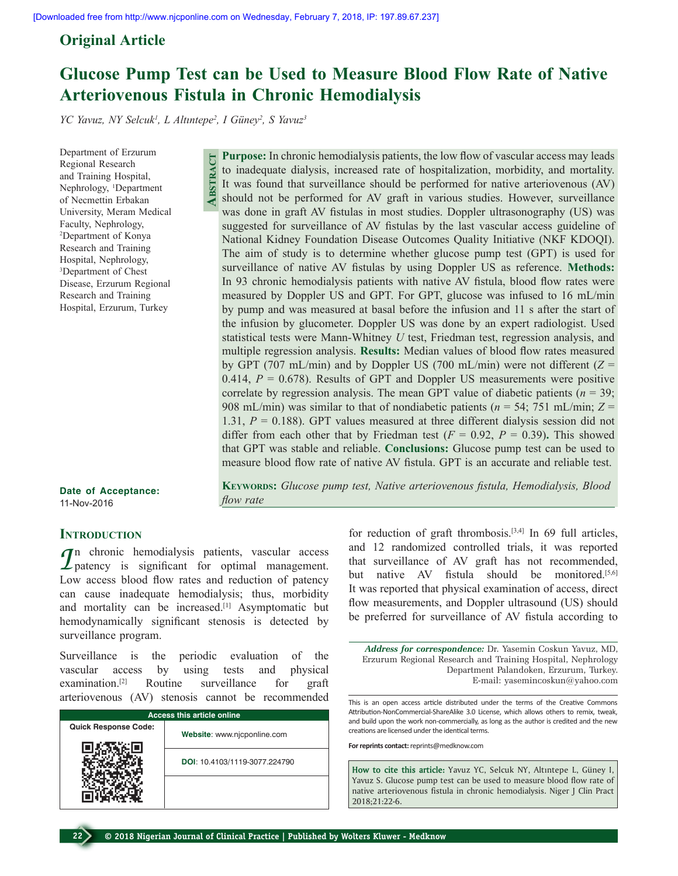# **Original Article**

# **Glucose Pump Test can be Used to Measure Blood Flow Rate of Native Arteriovenous Fistula in Chronic Hemodialysis**

*YC Yavuz, NY Selcuk1 , L Altıntepe<sup>2</sup> , I Güney<sup>2</sup> , S Yavuz3*

**Abstract**

Department of Erzurum Regional Research and Training Hospital, Nephrology, <sup>1</sup>Department of Necmettin Erbakan University, Meram Medical Faculty, Nephrology, 2 Department of Konya Research and Training Hospital, Nephrology, 3 Department of Chest Disease, Erzurum Regional Research and Training Hospital, Erzurum, Turkey

**Date of Acceptance:** 11-Nov-2016

## **INTRODUCTION**

*I*n chronic hemodialysis patients, vascular access  $\mathcal{L}_{\text{pattern}}$  is significant for optimal management. Low access blood flow rates and reduction of patency can cause inadequate hemodialysis; thus, morbidity and mortality can be increased.<sup>[1]</sup> Asymptomatic but hemodynamically significant stenosis is detected by surveillance program.

Surveillance is the periodic evaluation of the vascular access by using tests and physical examination.[2] Routine surveillance for graft arteriovenous (AV) stenosis cannot be recommended

| <b>Access this article online</b> |                               |  |  |
|-----------------------------------|-------------------------------|--|--|
| <b>Quick Response Code:</b>       | Website: www.njcponline.com   |  |  |
|                                   | DOI: 10.4103/1119-3077.224790 |  |  |
|                                   |                               |  |  |

**Purpose:** In chronic hemodialysis patients, the low flow of vascular access may leads to inadequate dialysis, increased rate of hospitalization, morbidity, and mortality. It was found that surveillance should be performed for native arteriovenous (AV) should not be performed for AV graft in various studies. However, surveillance was done in graft AV fistulas in most studies. Doppler ultrasonography (US) was suggested for surveillance of AV fistulas by the last vascular access guideline of National Kidney Foundation Disease Outcomes Quality Initiative (NKF KDOQI). The aim of study is to determine whether glucose pump test (GPT) is used for surveillance of native AV fistulas by using Doppler US as reference. **Methods:** In 93 chronic hemodialysis patients with native AV fistula, blood flow rates were measured by Doppler US and GPT. For GPT, glucose was infused to 16 mL/min by pump and was measured at basal before the infusion and 11 s after the start of the infusion by glucometer. Doppler US was done by an expert radiologist. Used statistical tests were Mann-Whitney *U* test, Friedman test, regression analysis, and multiple regression analysis. **Results:** Median values of blood flow rates measured by GPT (707 mL/min) and by Doppler US (700 mL/min) were not different (*Z* = 0.414,  $P = 0.678$ ). Results of GPT and Doppler US measurements were positive correlate by regression analysis. The mean GPT value of diabetic patients  $(n = 39)$ ; 908 mL/min) was similar to that of nondiabetic patients (*n* = 54; 751 mL/min; *Z* = 1.31, *P* = 0.188). GPT values measured at three different dialysis session did not differ from each other that by Friedman test  $(F = 0.92, P = 0.39)$ . This showed that GPT was stable and reliable. **Conclusions:** Glucose pump test can be used to measure blood flow rate of native AV fistula. GPT is an accurate and reliable test.

**Keywords:** *Glucose pump test, Native arteriovenous fistula, Hemodialysis, Blood flow rate*

> for reduction of graft thrombosis.<sup>[3,4]</sup> In 69 full articles, and 12 randomized controlled trials, it was reported that surveillance of AV graft has not recommended, but native AV fistula should be monitored.<sup>[5,6]</sup> It was reported that physical examination of access, direct flow measurements, and Doppler ultrasound (US) should be preferred for surveillance of AV fistula according to

*Address for correspondence:* Dr. Yasemin Coskun Yavuz, MD, Erzurum Regional Research and Training Hospital, Nephrology Department Palandoken, Erzurum, Turkey. E-mail: yasemincoskun@yahoo.com

This is an open access article distributed under the terms of the Creative Commons Attribution-NonCommercial-ShareAlike 3.0 License, which allows others to remix, tweak, and build upon the work non-commercially, as long as the author is credited and the new creations are licensed under the identical terms.

**For reprints contact:** reprints@medknow.com

**How to cite this article:** Yavuz YC, Selcuk NY, Altıntepe L, Güney I, Yavuz S. Glucose pump test can be used to measure blood flow rate of native arteriovenous fistula in chronic hemodialysis. Niger J Clin Pract 2018;21:22-6.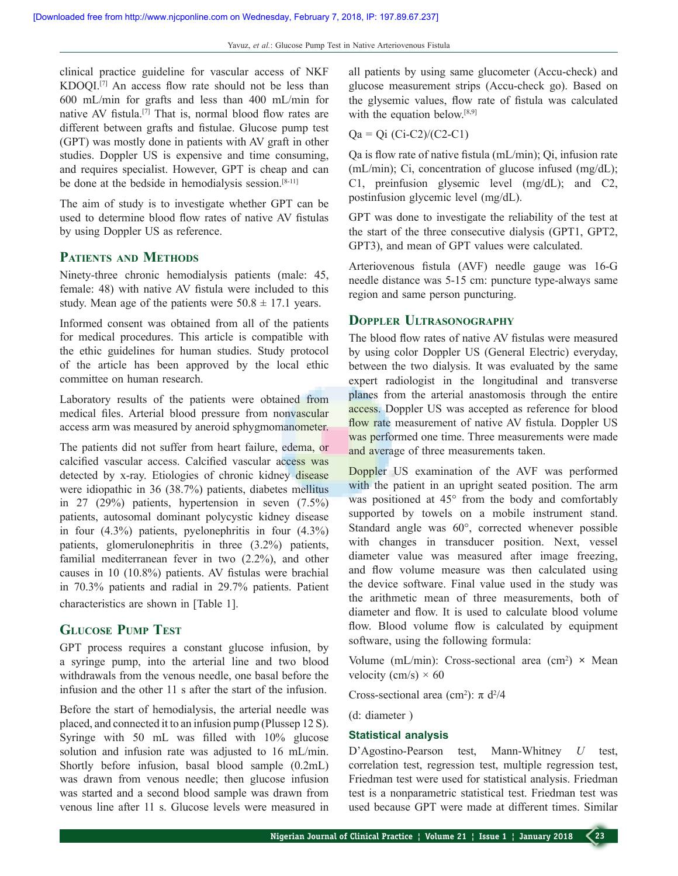clinical practice guideline for vascular access of NKF KDOQI.[7] An access flow rate should not be less than 600 mL/min for grafts and less than 400 mL/min for native AV fistula.[7] That is, normal blood flow rates are different between grafts and fistulae. Glucose pump test (GPT) was mostly done in patients with AV graft in other studies. Doppler US is expensive and time consuming, and requires specialist. However, GPT is cheap and can be done at the bedside in hemodialysis session.<sup>[8-11]</sup>

The aim of study is to investigate whether GPT can be used to determine blood flow rates of native AV fistulas by using Doppler US as reference.

# **Patients and Methods**

Ninety-three chronic hemodialysis patients (male: 45, female: 48) with native AV fistula were included to this study. Mean age of the patients were  $50.8 \pm 17.1$  years.

Informed consent was obtained from all of the patients for medical procedures. This article is compatible with the ethic guidelines for human studies. Study protocol of the article has been approved by the local ethic committee on human research.

Laboratory results of the patients were obtained from medical files. Arterial blood pressure from nonvascular access arm was measured by aneroid sphygmomanometer.

The patients did not suffer from heart failure, edema, or calcified vascular access. Calcified vascular access was detected by x-ray. Etiologies of chronic kidney disease were idiopathic in 36 (38.7%) patients, diabetes mellitus in 27 (29%) patients, hypertension in seven (7.5%) patients, autosomal dominant polycystic kidney disease in four (4.3%) patients, pyelonephritis in four (4.3%) patients, glomerulonephritis in three (3.2%) patients, familial mediterranean fever in two (2.2%), and other causes in 10 (10.8%) patients. AV fistulas were brachial in 70.3% patients and radial in 29.7% patients. Patient characteristics are shown in [Table 1].

## **Glucose Pump Test**

GPT process requires a constant glucose infusion, by a syringe pump, into the arterial line and two blood withdrawals from the venous needle, one basal before the infusion and the other 11 s after the start of the infusion.

Before the start of hemodialysis, the arterial needle was placed, and connected it to an infusion pump (Plussep 12 S). Syringe with 50 mL was filled with 10% glucose solution and infusion rate was adjusted to 16 mL/min. Shortly before infusion, basal blood sample (0.2mL) was drawn from venous needle; then glucose infusion was started and a second blood sample was drawn from venous line after 11 s. Glucose levels were measured in

all patients by using same glucometer (Accu-check) and glucose measurement strips (Accu-check go). Based on the glysemic values, flow rate of fistula was calculated with the equation below.<sup>[8,9]</sup>

#### $Qa = Qi (Ci-C2)/(C2-C1)$

Qa is flow rate of native fistula (mL/min); Qi, infusion rate (mL/min); Ci, concentration of glucose infused (mg/dL); C1, preinfusion glysemic level (mg/dL); and C2, postinfusion glycemic level (mg/dL).

GPT was done to investigate the reliability of the test at the start of the three consecutive dialysis (GPT1, GPT2, GPT3), and mean of GPT values were calculated.

Arteriovenous fistula (AVF) needle gauge was 16-G needle distance was 5-15 cm: puncture type-always same region and same person puncturing.

#### **Doppler Ultrasonography**

The blood flow rates of native AV fistulas were measured by using color Doppler US (General Electric) everyday, between the two dialysis. It was evaluated by the same expert radiologist in the longitudinal and transverse planes from the arterial anastomosis through the entire access. Doppler US was accepted as reference for blood flow rate measurement of native AV fistula. Doppler US was performed one time. Three measurements were made and average of three measurements taken.

Doppler US examination of the AVF was performed with the patient in an upright seated position. The arm was positioned at 45° from the body and comfortably supported by towels on a mobile instrument stand. Standard angle was 60°, corrected whenever possible with changes in transducer position. Next, vessel diameter value was measured after image freezing, and flow volume measure was then calculated using the device software. Final value used in the study was the arithmetic mean of three measurements, both of diameter and flow. It is used to calculate blood volume flow. Blood volume flow is calculated by equipment software, using the following formula:

Volume (mL/min): Cross-sectional area  $(cm^2) \times Mean$ velocity (cm/s)  $\times$  60

Cross-sectional area (cm<sup>2</sup>):  $\pi$  d<sup>2</sup>/4

(d: diameter )

#### **Statistical analysis**

D'Agostino-Pearson test, Mann-Whitney *U* test, correlation test, regression test, multiple regression test, Friedman test were used for statistical analysis. Friedman test is a nonparametric statistical test. Friedman test was used because GPT were made at different times. Similar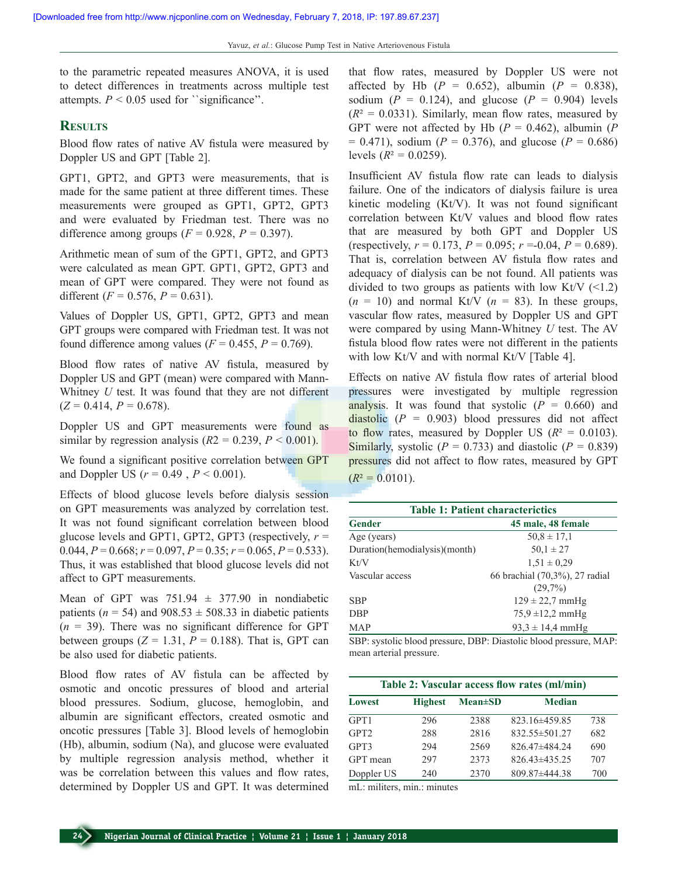to the parametric repeated measures ANOVA, it is used to detect differences in treatments across multiple test attempts.  $P < 0.05$  used for *`*significance''.

#### **Results**

Blood flow rates of native AV fistula were measured by Doppler US and GPT [Table 2].

GPT1, GPT2, and GPT3 were measurements, that is made for the same patient at three different times. These measurements were grouped as GPT1, GPT2, GPT3 and were evaluated by Friedman test. There was no difference among groups  $(F = 0.928, P = 0.397)$ .

Arithmetic mean of sum of the GPT1, GPT2, and GPT3 were calculated as mean GPT. GPT1, GPT2, GPT3 and mean of GPT were compared. They were not found as different  $(F = 0.576, P = 0.631)$ .

Values of Doppler US, GPT1, GPT2, GPT3 and mean GPT groups were compared with Friedman test. It was not found difference among values  $(F = 0.455, P = 0.769)$ .

Blood flow rates of native AV fistula, measured by Doppler US and GPT (mean) were compared with Mann-Whitney *U* test. It was found that they are not different  $(Z = 0.414, P = 0.678)$ .

Doppler US and GPT measurements were found as similar by regression analysis  $(R2 = 0.239, P \le 0.001)$ .

We found a significant positive correlation between GPT and Doppler US ( $r = 0.49$ ,  $P < 0.001$ ).

Effects of blood glucose levels before dialysis session on GPT measurements was analyzed by correlation test. It was not found significant correlation between blood glucose levels and GPT1, GPT2, GPT3 (respectively,  $r =$ 0.044,  $P = 0.668$ ;  $r = 0.097$ ,  $P = 0.35$ ;  $r = 0.065$ ,  $P = 0.533$ ). Thus, it was established that blood glucose levels did not affect to GPT measurements.

Mean of GPT was  $751.94 \pm 377.90$  in nondiabetic patients ( $n = 54$ ) and 908.53  $\pm$  508.33 in diabetic patients  $(n = 39)$ . There was no significant difference for GPT between groups  $(Z = 1.31, P = 0.188)$ . That is, GPT can be also used for diabetic patients.

Blood flow rates of AV fistula can be affected by osmotic and oncotic pressures of blood and arterial blood pressures. Sodium, glucose, hemoglobin, and albumin are significant effectors, created osmotic and oncotic pressures [Table 3]. Blood levels of hemoglobin (Hb), albumin, sodium (Na), and glucose were evaluated by multiple regression analysis method, whether it was be correlation between this values and flow rates, determined by Doppler US and GPT. It was determined that flow rates, measured by Doppler US were not affected by Hb  $(P = 0.652)$ , albumin  $(P = 0.838)$ , sodium ( $P = 0.124$ ), and glucose ( $P = 0.904$ ) levels  $(R^2 = 0.0331)$ . Similarly, mean flow rates, measured by GPT were not affected by Hb  $(P = 0.462)$ , albumin  $(P)$  $= 0.471$ , sodium (*P* = 0.376), and glucose (*P* = 0.686) levels  $(R^2 = 0.0259)$ .

Insufficient AV fistula flow rate can leads to dialysis failure. One of the indicators of dialysis failure is urea kinetic modeling (Kt/V). It was not found significant correlation between Kt/V values and blood flow rates that are measured by both GPT and Doppler US (respectively,  $r = 0.173$ ,  $P = 0.095$ ;  $r = -0.04$ ,  $P = 0.689$ ). That is, correlation between AV fistula flow rates and adequacy of dialysis can be not found. All patients was divided to two groups as patients with low Kt/V  $(\leq 1.2)$  $(n = 10)$  and normal Kt/V  $(n = 83)$ . In these groups, vascular flow rates, measured by Doppler US and GPT were compared by using Mann-Whitney *U* test. The AV fistula blood flow rates were not different in the patients with low Kt/V and with normal Kt/V [Table 4].

Effects on native AV fistula flow rates of arterial blood pressures were investigated by multiple regression analysis. It was found that systolic  $(P = 0.660)$  and diastolic  $(P = 0.903)$  blood pressures did not affect to flow rates, measured by Doppler US  $(R^2 = 0.0103)$ . Similarly, systolic  $(P = 0.733)$  and diastolic  $(P = 0.839)$ pressures did not affect to flow rates, measured by GPT  $(R^2 = 0.0101)$ .

**Table 1: Patient characterictics Gender 45 male, 48 female** Age (years)  $50,8 \pm 17,1$ Duration(hemodialysis)(month)  $50,1 \pm 27$ Kt/V  $1,51 \pm 0.29$ Vascular access 66 brachial (70,3%), 27 radial  $(29,7%)$ SBP  $129 \pm 22,7 \text{ mmHg}$ DBP  $75.9 \pm 12.2 \text{ mmHg}$ MAP 93,3  $\pm$  14,4 mmHg

SBP: systolic blood pressure, DBP: Diastolic blood pressure, MAP: mean arterial pressure.

| Table 2: Vascular access flow rates (ml/min) |                |               |                     |     |  |  |
|----------------------------------------------|----------------|---------------|---------------------|-----|--|--|
| <b>Lowest</b>                                | <b>Highest</b> | $Mean \pm SD$ | <b>Median</b>       |     |  |  |
| GPT1                                         | 296            | 2388          | 823.16±459.85       | 738 |  |  |
| GPT <sub>2</sub>                             | 288            | 2816          | $832.55 \pm 501.27$ | 682 |  |  |
| GPT3                                         | 294            | 2569          | 826.47±484.24       | 690 |  |  |
| GPT mean                                     | 297            | 2373          | $826.43\pm435.25$   | 707 |  |  |
| Doppler US                                   | 240            | 2370          | $809.87 \pm 444.38$ | 700 |  |  |

mL: militers, min.: minutes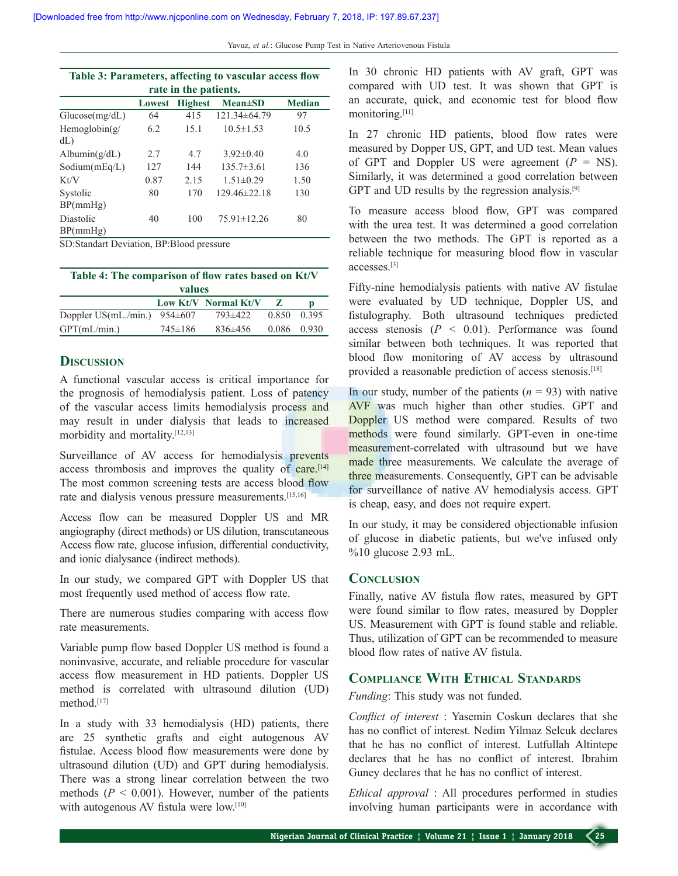| Table 3: Parameters, affecting to vascular access flow |        |                |                    |               |  |  |  |  |
|--------------------------------------------------------|--------|----------------|--------------------|---------------|--|--|--|--|
| rate in the patients.                                  |        |                |                    |               |  |  |  |  |
|                                                        | Lowest | <b>Highest</b> | $Mean \pm SD$      | <b>Median</b> |  |  |  |  |
| Glucose(mg/dL)                                         | 64     | 415            | $121.34\pm 64.79$  | 97            |  |  |  |  |
| Hemoglobin( $g$<br>dL                                  | 6.2    | 15.1           | $10.5 \pm 1.53$    | 10.5          |  |  |  |  |
| Albumin $(g/dL)$                                       | 2.7    | 47             | $3.92\pm0.40$      | 4.0           |  |  |  |  |
| Sodium(mEq/L)                                          | 127    | 144            | $135.7\pm3.61$     | 136           |  |  |  |  |
| Kt/V                                                   | 0.87   | 2.15           | $1.51 \pm 0.29$    | 1.50          |  |  |  |  |
| Systolic<br>BP(mmHg)                                   | 80     | 170            | $129.46 \pm 22.18$ | 130           |  |  |  |  |
| Diastolic<br>BP(mmHg)                                  | 40     | 100            | $75.91 \pm 12.26$  | 80            |  |  |  |  |

SD:Standart Deviation, BP:Blood pressure

| Table 4: The comparison of flow rates based on Kt/V |  |                      |       |       |  |  |  |
|-----------------------------------------------------|--|----------------------|-------|-------|--|--|--|
| values                                              |  |                      |       |       |  |  |  |
|                                                     |  | Low Kt/V Normal Kt/V | - 7.  | D     |  |  |  |
| Doppler US(mL./min.) $954\pm607$                    |  | 793±422              | 0.850 | 0.395 |  |  |  |

GPT(mL/min.) 745±186 836±456 0.086 0.930

## **DISCUSSION**

A functional vascular access is critical importance for the prognosis of hemodialysis patient. Loss of patency of the vascular access limits hemodialysis process and may result in under dialysis that leads to increased morbidity and mortality.[12,13]

Surveillance of AV access for hemodialysis prevents access thrombosis and improves the quality of care.<sup>[14]</sup> The most common screening tests are access blood flow rate and dialysis venous pressure measurements.[15,16]

Access flow can be measured Doppler US and MR angiography (direct methods) or US dilution, transcutaneous Access flow rate, glucose infusion, differential conductivity, and ionic dialysance (indirect methods).

In our study, we compared GPT with Doppler US that most frequently used method of access flow rate.

There are numerous studies comparing with access flow rate measurements.

Variable pump flow based Doppler US method is found a noninvasive, accurate, and reliable procedure for vascular access flow measurement in HD patients. Doppler US method is correlated with ultrasound dilution (UD) method<sup>[17]</sup>

In a study with 33 hemodialysis (HD) patients, there are 25 synthetic grafts and eight autogenous AV fistulae. Access blood flow measurements were done by ultrasound dilution (UD) and GPT during hemodialysis. There was a strong linear correlation between the two methods  $(P \le 0.001)$ . However, number of the patients with autogenous AV fistula were low.<sup>[10]</sup>

In 30 chronic HD patients with AV graft, GPT was compared with UD test. It was shown that GPT is an accurate, quick, and economic test for blood flow monitoring.[11]

In 27 chronic HD patients, blood flow rates were measured by Dopper US, GPT, and UD test. Mean values of GPT and Doppler US were agreement  $(P = NS)$ . Similarly, it was determined a good correlation between GPT and UD results by the regression analysis.<sup>[9]</sup>

To measure access blood flow, GPT was compared with the urea test. It was determined a good correlation between the two methods. The GPT is reported as a reliable technique for measuring blood flow in vascular accesses.[3]

Fifty-nine hemodialysis patients with native AV fistulae were evaluated by UD technique, Doppler US, and fistulography. Both ultrasound techniques predicted access stenosis  $(P < 0.01)$ . Performance was found similar between both techniques. It was reported that blood flow monitoring of AV access by ultrasound provided a reasonable prediction of access stenosis.<sup>[18]</sup>

In our study, number of the patients  $(n = 93)$  with native AVF was much higher than other studies. GPT and Doppler US method were compared. Results of two methods were found similarly. GPT-even in one-time measurement-correlated with ultrasound but we have made three measurements. We calculate the average of three measurements. Consequently, GPT can be advisable for surveillance of native AV hemodialysis access. GPT is cheap, easy, and does not require expert.

In our study, it may be considered objectionable infusion of glucose in diabetic patients, but we've infused only %10 glucose 2.93 mL.

#### **Conclusion**

Finally, native AV fistula flow rates, measured by GPT were found similar to flow rates, measured by Doppler US. Measurement with GPT is found stable and reliable. Thus, utilization of GPT can be recommended to measure blood flow rates of native AV fistula.

# **Compliance With Ethical Standards**

*Funding*: This study was not funded.

*Conflict of interest* : Yasemin Coskun declares that she has no conflict of interest. Nedim Yilmaz Selcuk declares that he has no conflict of interest. Lutfullah Altintepe declares that he has no conflict of interest. Ibrahim Guney declares that he has no conflict of interest.

*Ethical approval* : All procedures performed in studies involving human participants were in accordance with